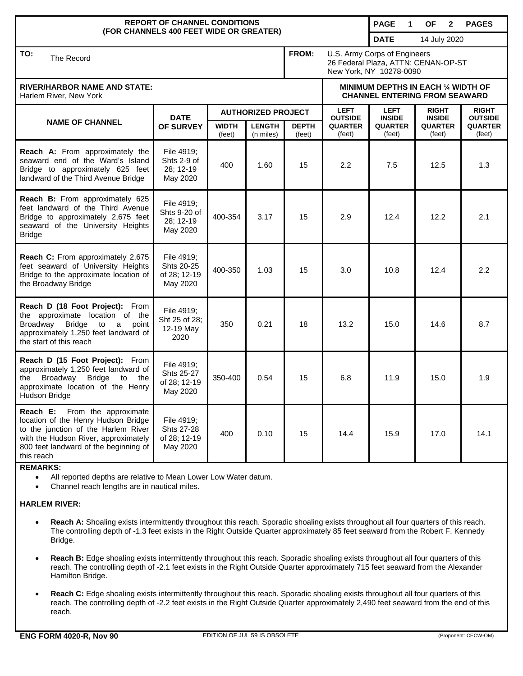| <b>REPORT OF CHANNEL CONDITIONS</b>                                                                                                                                                                                        |                                                      |                           |                            |                        |                                                                                                | <b>PAGE</b><br>$\mathbf 1$   | <b>OF</b><br>$\mathbf{2}$     | <b>PAGES</b>                   |
|----------------------------------------------------------------------------------------------------------------------------------------------------------------------------------------------------------------------------|------------------------------------------------------|---------------------------|----------------------------|------------------------|------------------------------------------------------------------------------------------------|------------------------------|-------------------------------|--------------------------------|
| (FOR CHANNELS 400 FEET WIDE OR GREATER)                                                                                                                                                                                    |                                                      |                           |                            |                        |                                                                                                | <b>DATE</b>                  | 14 July 2020                  |                                |
| TO:<br>The Record                                                                                                                                                                                                          |                                                      |                           |                            | FROM:                  | U.S. Army Corps of Engineers<br>26 Federal Plaza, ATTN: CENAN-OP-ST<br>New York, NY 10278-0090 |                              |                               |                                |
| <b>RIVER/HARBOR NAME AND STATE:</b><br>Harlem River, New York                                                                                                                                                              |                                                      |                           |                            |                        | MINIMUM DEPTHS IN EACH 1/4 WIDTH OF<br><b>CHANNEL ENTERING FROM SEAWARD</b>                    |                              |                               |                                |
| <b>NAME OF CHANNEL</b>                                                                                                                                                                                                     | <b>DATE</b><br>OF SURVEY                             | <b>AUTHORIZED PROJECT</b> |                            |                        | <b>LEFT</b><br><b>OUTSIDE</b>                                                                  | <b>LEFT</b><br><b>INSIDE</b> | <b>RIGHT</b><br><b>INSIDE</b> | <b>RIGHT</b><br><b>OUTSIDE</b> |
|                                                                                                                                                                                                                            |                                                      | <b>WIDTH</b><br>(feet)    | <b>LENGTH</b><br>(n miles) | <b>DEPTH</b><br>(feet) | <b>QUARTER</b><br>(feet)                                                                       | <b>QUARTER</b><br>(feet)     | <b>QUARTER</b><br>(feet)      | <b>QUARTER</b><br>(feet)       |
| Reach A: From approximately the<br>seaward end of the Ward's Island<br>Bridge to approximately 625 feet<br>landward of the Third Avenue Bridge                                                                             | File 4919;<br>Shts 2-9 of<br>28; 12-19<br>May 2020   | 400                       | 1.60                       | 15                     | 2.2                                                                                            | 7.5                          | 12.5                          | 1.3                            |
| Reach B: From approximately 625<br>feet landward of the Third Avenue<br>Bridge to approximately 2,675 feet<br>seaward of the University Heights<br><b>Bridge</b>                                                           | File 4919;<br>Shts 9-20 of<br>28; 12-19<br>May 2020  | 400-354                   | 3.17                       | 15                     | 2.9                                                                                            | 12.4                         | 12.2                          | 2.1                            |
| Reach C: From approximately 2,675<br>feet seaward of University Heights<br>Bridge to the approximate location of<br>the Broadway Bridge                                                                                    | File 4919;<br>Shts 20-25<br>of 28; 12-19<br>May 2020 | 400-350                   | 1.03                       | 15                     | 3.0                                                                                            | 10.8                         | 12.4                          | 2.2                            |
| Reach D (18 Foot Project): From<br>the approximate location of the<br>Broadway<br><b>Bridge</b><br>to<br>a<br>point<br>approximately 1,250 feet landward of<br>the start of this reach                                     | File 4919;<br>Sht 25 of 28;<br>12-19 May<br>2020     | 350                       | 0.21                       | 18                     | 13.2                                                                                           | 15.0                         | 14.6                          | 8.7                            |
| Reach D (15 Foot Project): From<br>approximately 1,250 feet landward of<br><b>Bridge</b><br>the<br>Broadway<br>to<br>the<br>approximate location of the Henry<br>Hudson Bridge                                             | File 4919;<br>Shts 25-27<br>of 28; 12-19<br>May 2020 | 350-400                   | 0.54                       | 15                     | 6.8                                                                                            | 11.9                         | 15.0                          | 1.9                            |
| Reach E:<br>From the approximate<br>location of the Henry Hudson Bridge<br>to the junction of the Harlem River<br>with the Hudson River, approximately<br>800 feet landward of the beginning of<br>this reach<br>DEMADIZE. | File 4919;<br>Shts 27-28<br>of 28; 12-19<br>May 2020 | 400                       | 0.10                       | 15                     | 14.4                                                                                           | 15.9                         | 17.0                          | 14.1                           |

**REMARKS:**

All reported depths are relative to Mean Lower Low Water datum.

Channel reach lengths are in nautical miles.

## **HARLEM RIVER:**

- **Reach A:** Shoaling exists intermittently throughout this reach. Sporadic shoaling exists throughout all four quarters of this reach. The controlling depth of -1.3 feet exists in the Right Outside Quarter approximately 85 feet seaward from the Robert F. Kennedy Bridge.
- **Reach B:** Edge shoaling exists intermittently throughout this reach. Sporadic shoaling exists throughout all four quarters of this reach. The controlling depth of -2.1 feet exists in the Right Outside Quarter approximately 715 feet seaward from the Alexander Hamilton Bridge.
- **Reach C:** Edge shoaling exists intermittently throughout this reach. Sporadic shoaling exists throughout all four quarters of this reach. The controlling depth of -2.2 feet exists in the Right Outside Quarter approximately 2,490 feet seaward from the end of this reach.